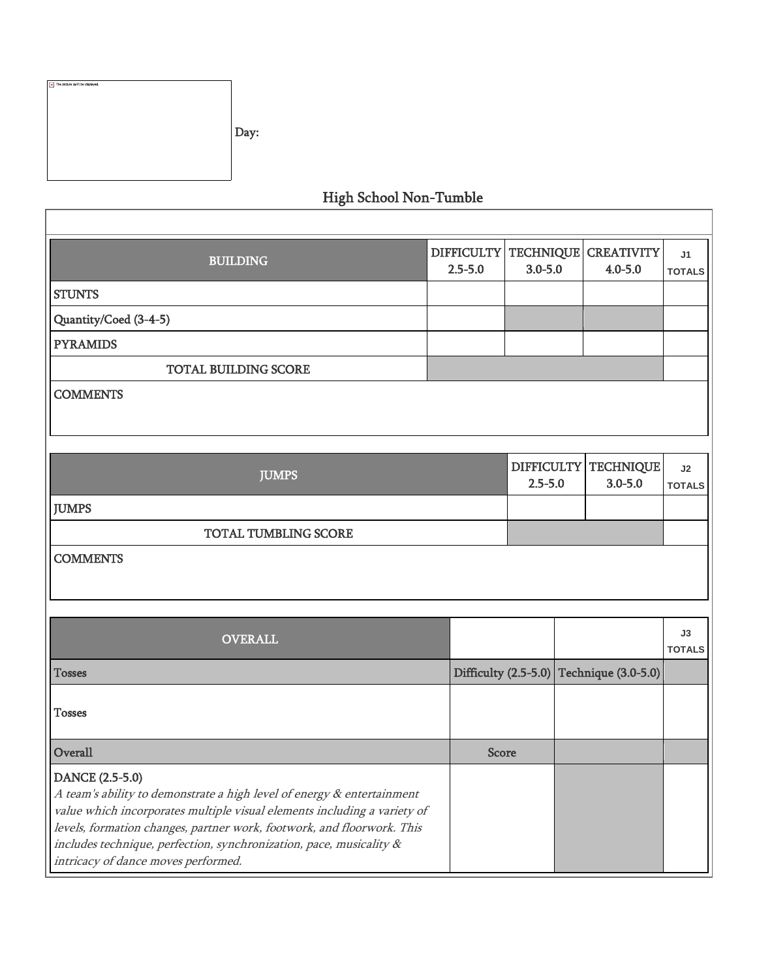| x The picture can't be displayed. | Day: |
|-----------------------------------|------|
|                                   |      |

## High School Non-Tumble

| <b>BUILDING</b>                                                                                                                                                                                                                                                                                                                                               | <b>DIFFICULTY</b><br>$2.5 - 5.0$ | <b>TECHNIQUE</b><br>$3.0 - 5.0$  |  | <b>CREATIVITY</b><br>$4.0 - 5.0$ | J <sub>1</sub><br><b>TOTALS</b> |  |
|---------------------------------------------------------------------------------------------------------------------------------------------------------------------------------------------------------------------------------------------------------------------------------------------------------------------------------------------------------------|----------------------------------|----------------------------------|--|----------------------------------|---------------------------------|--|
| <b>STUNTS</b>                                                                                                                                                                                                                                                                                                                                                 |                                  |                                  |  |                                  |                                 |  |
| Quantity/Coed (3-4-5)                                                                                                                                                                                                                                                                                                                                         |                                  |                                  |  |                                  |                                 |  |
| <b>PYRAMIDS</b>                                                                                                                                                                                                                                                                                                                                               |                                  |                                  |  |                                  |                                 |  |
| <b>TOTAL BUILDING SCORE</b>                                                                                                                                                                                                                                                                                                                                   |                                  |                                  |  |                                  |                                 |  |
| <b>COMMENTS</b>                                                                                                                                                                                                                                                                                                                                               |                                  |                                  |  |                                  |                                 |  |
|                                                                                                                                                                                                                                                                                                                                                               |                                  |                                  |  |                                  |                                 |  |
| <b>JUMPS</b>                                                                                                                                                                                                                                                                                                                                                  |                                  | <b>DIFFICULTY</b><br>$2.5 - 5.0$ |  | <b>TECHNIQUE</b><br>$3.0 - 5.0$  | J2<br><b>TOTALS</b>             |  |
| <b>JUMPS</b>                                                                                                                                                                                                                                                                                                                                                  |                                  |                                  |  |                                  |                                 |  |
| <b>TOTAL TUMBLING SCORE</b>                                                                                                                                                                                                                                                                                                                                   |                                  |                                  |  |                                  |                                 |  |
| <b>COMMENTS</b>                                                                                                                                                                                                                                                                                                                                               |                                  |                                  |  |                                  |                                 |  |
|                                                                                                                                                                                                                                                                                                                                                               |                                  |                                  |  |                                  |                                 |  |
| <b>OVERALL</b>                                                                                                                                                                                                                                                                                                                                                |                                  |                                  |  |                                  | J3<br><b>TOTALS</b>             |  |
| <b>Tosses</b>                                                                                                                                                                                                                                                                                                                                                 | Difficulty (2.5-5.0)             |                                  |  | Technique (3.0-5.0)              |                                 |  |
| <b>Tosses</b>                                                                                                                                                                                                                                                                                                                                                 |                                  |                                  |  |                                  |                                 |  |
| Overall                                                                                                                                                                                                                                                                                                                                                       | <b>Score</b>                     |                                  |  |                                  |                                 |  |
| DANCE (2.5-5.0)<br>A team's ability to demonstrate a high level of energy & entertainment<br>value which incorporates multiple visual elements including a variety of<br>levels, formation changes, partner work, footwork, and floorwork. This<br>includes technique, perfection, synchronization, pace, musicality &<br>intricacy of dance moves performed. |                                  |                                  |  |                                  |                                 |  |